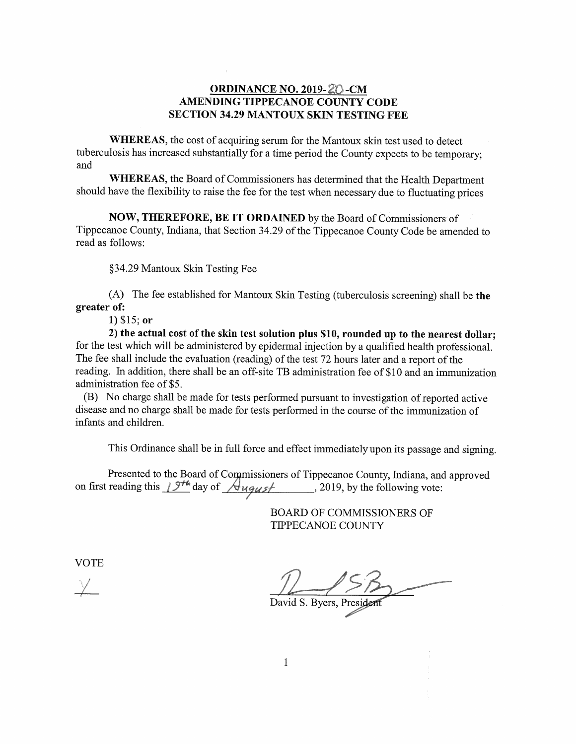## ORDINANCE NO. 2019- ZO-CM AMENDING TIPPECANOE COUNTY CODE SECTION 34.29 MANTOUX SKIN TESTING FEE

WHEREAS, the cost of acquiring serum for the Mantoux skin test used to detect tuberculosis has increased substantially for a time period the County expects to be temporary; and and

WHEREAS, the Board of Commissioners has determined that the Health Department should have the flexibility to raise the fee for the test when necessary due to fluctuating prices

NOW, THEREFORE, BE IT ORDAINED by the Board of Commissioners of Tippecanoe County, Indiana, that Section 34.29 of the Tippecanoe County Code be amended to read as follows:

§34.29 MantouX Skin Testing Fee §34.29MantouXSkinTestingFee

 $(A)$  The fee established for Mantoux Skin Testing (tuberculosis screening) shall be the greater of: greaterof:

1) \$15; or 1)\$15;or

2) the actual cost of the skin test solution plus \$10, rounded up to the nearest dollar; for the test which will be administered by epidermal injection by a qualified health professional. The fee shall include the evaluation (reading) of the test 72 hours later and a report of the reading. In addition, there shall be an off-site TB administration fee of \$10 and an immunization administration fee of \$5.

(B) No charge shall be made for tests performed pursuant to investigation of reported active disease and no charge shall be made for tests performed in the course of the immunization of infants and children.

This Ordinance shall be in full force and effect immediately upon its passage and signing.

Presented to the Board of Commissioners of Tippecanoe County, Indiana, and approved on first reading this  $19^{+4}$  day of  $\sqrt{4}$ ugus / 2019, by the following vote:

> BOARD OF COMMISSIONERS OF TIPPECANOE COUNTY TIPPECANOECOUNTY

**VOTE** 

55. i  $\sqrt{2}$  $\zeta$   $\zeta$  $\mathbb{Z}$  .  $\mathbb{Z}$  . The same  $\mathbb{Z}$ I  $\frac{1}{\sqrt{1-\frac{1}{\sqrt{1-\frac{1}{\sqrt{1-\frac{1}{\sqrt{1-\frac{1}{\sqrt{1-\frac{1}{\sqrt{1-\frac{1}{\sqrt{1-\frac{1}{\sqrt{1-\frac{1}{\sqrt{1-\frac{1}{\sqrt{1-\frac{1}{\sqrt{1-\frac{1}{\sqrt{1-\frac{1}{\sqrt{1-\frac{1}{\sqrt{1-\frac{1}{\sqrt{1-\frac{1}{\sqrt{1-\frac{1}{\sqrt{1-\frac{1}{\sqrt{1-\frac{1}{\sqrt{1-\frac{1}{\sqrt{1-\frac{1}{\sqrt{1-\frac{1}{\sqrt{1-\frac{1}{\sqrt{1-\frac{1}{\sqrt{1-\frac{1$ identified in the David S. Byers, President  $\sim$ 555:i1"'Aly;<sup>i</sup>''' win. Support of the state of the state of the state of the state of the state of the state of the state of the

Main Serbian Serbian Serbian Serbian Serbian Serbian Serbian Serbian Serbian Serbian Serbian Serbian Serbian Serbian Serbian Serbian Serbian Serbian Serbian Serbian Serbian Serbian Serbian Serbian Serbian Serbian Serbian S